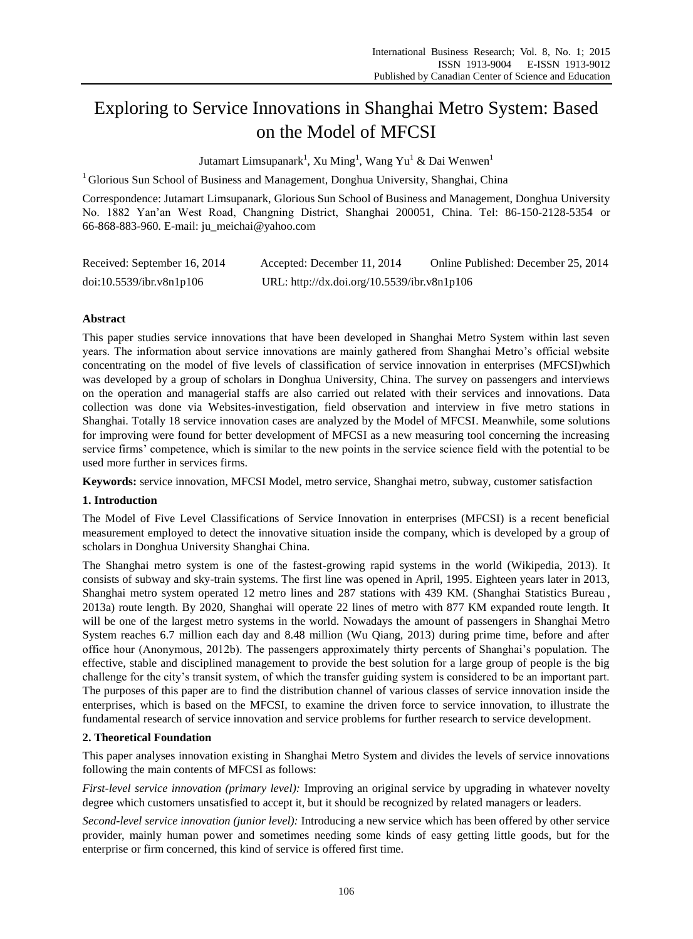# Exploring to Service Innovations in Shanghai Metro System: Based on the Model of MFCSI

Jutamart Limsupanark<sup>1</sup>, Xu Ming<sup>1</sup>, Wang Yu<sup>1</sup> & Dai Wenwen<sup>1</sup>

<sup>1</sup>Glorious Sun School of Business and Management, Donghua University, Shanghai, China

Correspondence: Jutamart Limsupanark, Glorious Sun School of Business and Management, Donghua University No. 1882 Yan'an West Road, Changning District, Shanghai 200051, China. Tel: 86-150-2128-5354 or 66-868-883-960. E-mail: ju\_meichai@yahoo.com

| Received: September 16, 2014 | Accepted: December 11, 2014                 | Online Published: December 25, 2014 |
|------------------------------|---------------------------------------------|-------------------------------------|
| doi:10.5539/ibr.v8n1p106     | URL: http://dx.doi.org/10.5539/ibr.v8n1p106 |                                     |

# **Abstract**

This paper studies service innovations that have been developed in Shanghai Metro System within last seven years. The information about service innovations are mainly gathered from Shanghai Metro's official website concentrating on the model of five levels of classification of service innovation in enterprises (MFCSI)which was developed by a group of scholars in Donghua University, China. The survey on passengers and interviews on the operation and managerial staffs are also carried out related with their services and innovations. Data collection was done via Websites-investigation, field observation and interview in five metro stations in Shanghai. Totally 18 service innovation cases are analyzed by the Model of MFCSI. Meanwhile, some solutions for improving were found for better development of MFCSI as a new measuring tool concerning the increasing service firms' competence, which is similar to the new points in the service science field with the potential to be used more further in services firms.

**Keywords:** service innovation, MFCSI Model, metro service, Shanghai metro, subway, customer satisfaction

# **1. Introduction**

The Model of Five Level Classifications of Service Innovation in enterprises (MFCSI) is a recent beneficial measurement employed to detect the innovative situation inside the company, which is developed by a group of scholars in Donghua University Shanghai China.

The Shanghai metro system is one of the fastest-growing rapid systems in the world (Wikipedia, 2013). It consists of subway and sky-train systems. The first line was opened in April, 1995. Eighteen years later in 2013, Shanghai metro system operated 12 metro lines and 287 stations with 439 KM. (Shanghai Statistics Bureau , 2013a) route length. By 2020, Shanghai will operate 22 lines of metro with 877 KM expanded route length. It will be one of the largest metro systems in the world. Nowadays the amount of passengers in Shanghai Metro System reaches 6.7 million each day and 8.48 million (Wu Qiang, 2013) during prime time, before and after office hour (Anonymous, 2012b). The passengers approximately thirty percents of Shanghai's population. The effective, stable and disciplined management to provide the best solution for a large group of people is the big challenge for the city's transit system, of which the transfer guiding system is considered to be an important part. The purposes of this paper are to find the distribution channel of various classes of service innovation inside the enterprises, which is based on the MFCSI, to examine the driven force to service innovation, to illustrate the fundamental research of service innovation and service problems for further research to service development.

# **2. Theoretical Foundation**

This paper analyses innovation existing in Shanghai Metro System and divides the levels of service innovations following the main contents of MFCSI as follows:

*First-level service innovation (primary level):* Improving an original service by upgrading in whatever novelty degree which customers unsatisfied to accept it, but it should be recognized by related managers or leaders.

*Second-level service innovation (junior level):* Introducing a new service which has been offered by other service provider, mainly human power and sometimes needing some kinds of easy getting little goods, but for the enterprise or firm concerned, this kind of service is offered first time.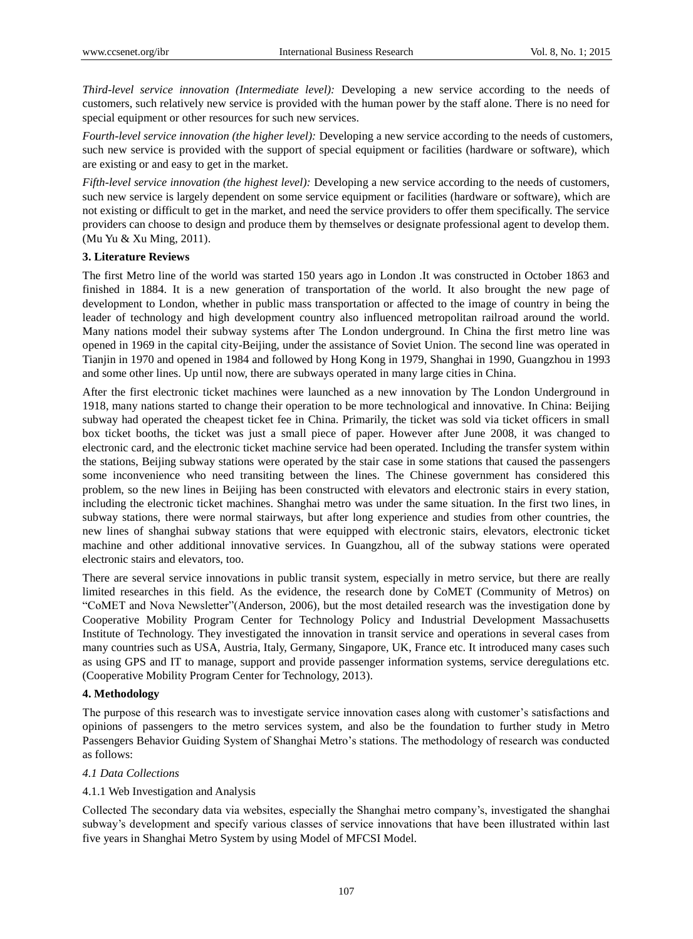*Third-level service innovation (Intermediate level):* Developing a new service according to the needs of customers, such relatively new service is provided with the human power by the staff alone. There is no need for special equipment or other resources for such new services.

*Fourth-level service innovation (the higher level):* Developing a new service according to the needs of customers, such new service is provided with the support of special equipment or facilities (hardware or software), which are existing or and easy to get in the market.

*Fifth-level service innovation (the highest level):* Developing a new service according to the needs of customers, such new service is largely dependent on some service equipment or facilities (hardware or software), which are not existing or difficult to get in the market, and need the service providers to offer them specifically. The service providers can choose to design and produce them by themselves or designate professional agent to develop them. (Mu Yu & Xu Ming, 2011).

# **3. Literature Reviews**

The first Metro line of the world was started 150 years ago in London .It was constructed in October 1863 and finished in 1884. It is a new generation of transportation of the world. It also brought the new page of development to London, whether in public mass transportation or affected to the image of country in being the leader of technology and high development country also influenced metropolitan railroad around the world. Many nations model their subway systems after The London underground. In China the first metro line was opened in 1969 in the capital city-Beijing, under the assistance of Soviet Union. The second line was operated in Tianjin in 1970 and opened in 1984 and followed by Hong Kong in 1979, Shanghai in 1990, Guangzhou in 1993 and some other lines. Up until now, there are subways operated in many large cities in China.

After the first electronic ticket machines were launched as a new innovation by The London Underground in 1918, many nations started to change their operation to be more technological and innovative. In China: Beijing subway had operated the cheapest ticket fee in China. Primarily, the ticket was sold via ticket officers in small box ticket booths, the ticket was just a small piece of paper. However after June 2008, it was changed to electronic card, and the electronic ticket machine service had been operated. Including the transfer system within the stations, Beijing subway stations were operated by the stair case in some stations that caused the passengers some inconvenience who need transiting between the lines. The Chinese government has considered this problem, so the new lines in Beijing has been constructed with elevators and electronic stairs in every station, including the electronic ticket machines. Shanghai metro was under the same situation. In the first two lines, in subway stations, there were normal stairways, but after long experience and studies from other countries, the new lines of shanghai subway stations that were equipped with electronic stairs, elevators, electronic ticket machine and other additional innovative services. In Guangzhou, all of the subway stations were operated electronic stairs and elevators, too.

There are several service innovations in public transit system, especially in metro service, but there are really limited researches in this field. As the evidence, the research done by CoMET (Community of Metros) on "CoMET and Nova Newsletter"(Anderson, 2006), but the most detailed research was the investigation done by Cooperative Mobility Program Center for Technology Policy and Industrial Development Massachusetts Institute of Technology. They investigated the innovation in transit service and operations in several cases from many countries such as USA, Austria, Italy, Germany, Singapore, UK, France etc. It introduced many cases such as using GPS and IT to manage, support and provide passenger information systems, service deregulations etc. (Cooperative Mobility Program Center for Technology, 2013).

# **4. Methodology**

The purpose of this research was to investigate service innovation cases along with customer's satisfactions and opinions of passengers to the metro services system, and also be the foundation to further study in Metro Passengers Behavior Guiding System of Shanghai Metro's stations. The methodology of research was conducted as follows:

# *4.1 Data Collections*

# 4.1.1 Web Investigation and Analysis

Collected The secondary data via websites, especially the Shanghai metro company's, investigated the shanghai subway's development and specify various classes of service innovations that have been illustrated within last five years in Shanghai Metro System by using Model of MFCSI Model.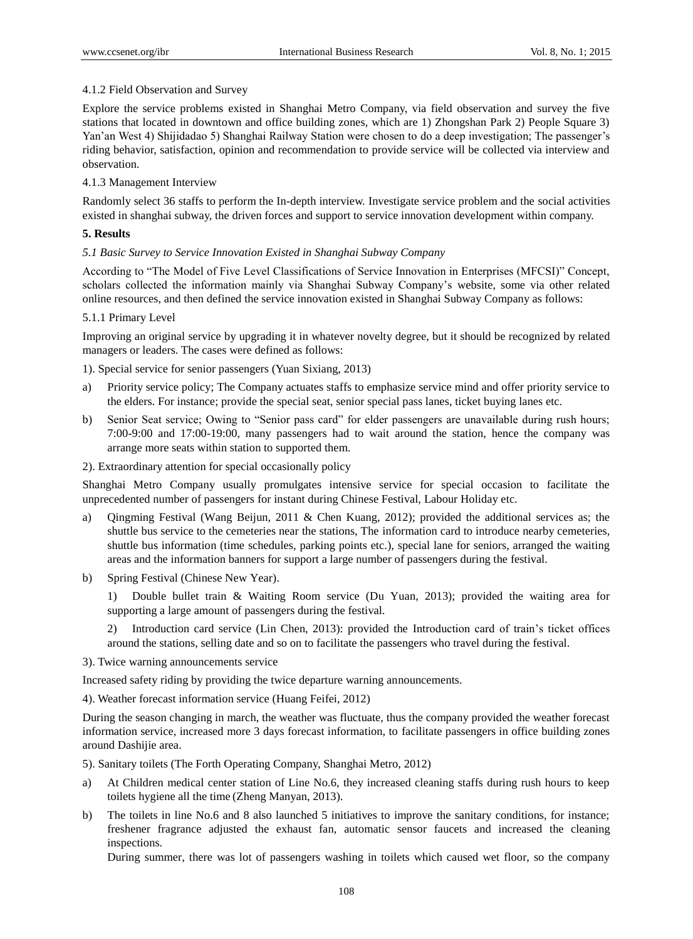#### 4.1.2 Field Observation and Survey

Explore the service problems existed in Shanghai Metro Company, via field observation and survey the five stations that located in downtown and office building zones, which are 1) Zhongshan Park 2) People Square 3) Yan'an West 4) Shijidadao 5) Shanghai Railway Station were chosen to do a deep investigation; The passenger's riding behavior, satisfaction, opinion and recommendation to provide service will be collected via interview and observation.

# 4.1.3 Management Interview

Randomly select 36 staffs to perform the In-depth interview. Investigate service problem and the social activities existed in shanghai subway, the driven forces and support to service innovation development within company.

# **5. Results**

#### *5.1 Basic Survey to Service Innovation Existed in Shanghai Subway Company*

According to "The Model of Five Level Classifications of Service Innovation in Enterprises (MFCSI)" Concept, scholars collected the information mainly via Shanghai Subway Company's website, some via other related online resources, and then defined the service innovation existed in Shanghai Subway Company as follows:

#### 5.1.1 Primary Level

Improving an original service by upgrading it in whatever novelty degree, but it should be recognized by related managers or leaders. The cases were defined as follows:

1). Special service for senior passengers (Yuan Sixiang, 2013)

- a) Priority service policy; The Company actuates staffs to emphasize service mind and offer priority service to the elders. For instance; provide the special seat, senior special pass lanes, ticket buying lanes etc.
- b) Senior Seat service; Owing to "Senior pass card" for elder passengers are unavailable during rush hours; 7:00-9:00 and 17:00-19:00, many passengers had to wait around the station, hence the company was arrange more seats within station to supported them.
- 2). Extraordinary attention for special occasionally policy

Shanghai Metro Company usually promulgates intensive service for special occasion to facilitate the unprecedented number of passengers for instant during Chinese Festival, Labour Holiday etc.

- a) Qingming Festival (Wang Beijun, 2011 & Chen Kuang, 2012); provided the additional services as; the shuttle bus service to the cemeteries near the stations, The information card to introduce nearby cemeteries, shuttle bus information (time schedules, parking points etc.), special lane for seniors, arranged the waiting areas and the information banners for support a large number of passengers during the festival.
- b) Spring Festival (Chinese New Year).

1) Double bullet train & Waiting Room service (Du Yuan, 2013); provided the waiting area for supporting a large amount of passengers during the festival.

2) Introduction card service (Lin Chen, 2013): provided the Introduction card of train's ticket offices around the stations, selling date and so on to facilitate the passengers who travel during the festival.

3). Twice warning announcements service

Increased safety riding by providing the twice departure warning announcements.

4). Weather forecast information service (Huang Feifei, 2012)

During the season changing in march, the weather was fluctuate, thus the company provided the weather forecast information service, increased more 3 days forecast information, to facilitate passengers in office building zones around Dashijie area.

5). Sanitary toilets (The Forth Operating Company, Shanghai Metro, 2012)

- a) At Children medical center station of Line No.6, they increased cleaning staffs during rush hours to keep toilets hygiene all the time (Zheng Manyan, 2013).
- b) The toilets in line No.6 and 8 also launched 5 initiatives to improve the sanitary conditions, for instance; freshener fragrance adjusted the exhaust fan, automatic sensor faucets and increased the cleaning inspections.

During summer, there was lot of passengers washing in toilets which caused wet floor, so the company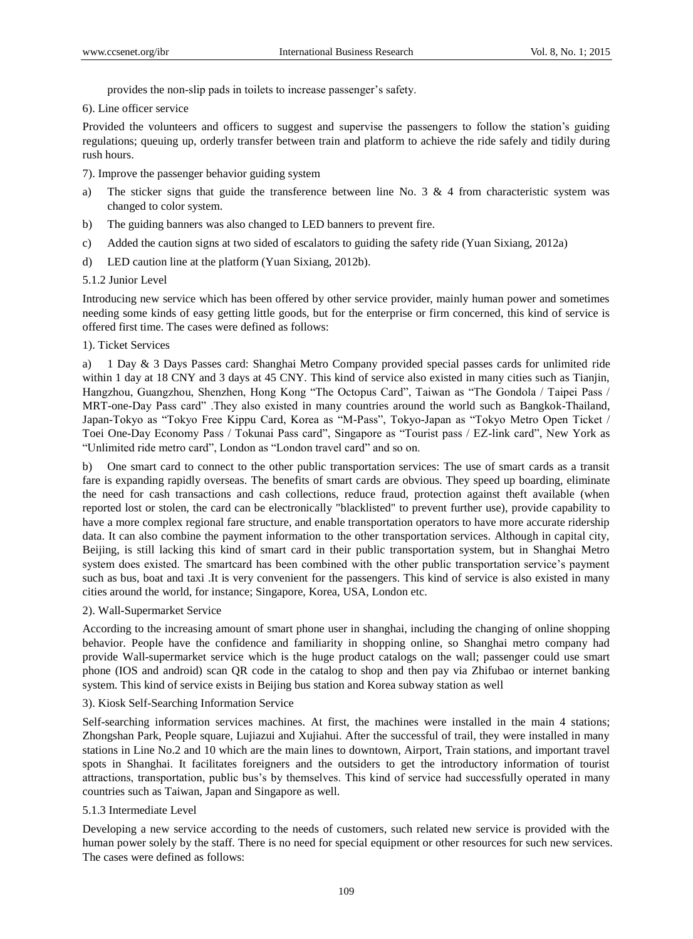provides the non-slip pads in toilets to increase passenger's safety.

#### 6). Line officer service

Provided the volunteers and officers to suggest and supervise the passengers to follow the station's guiding regulations; queuing up, orderly transfer between train and platform to achieve the ride safely and tidily during rush hours.

- 7). Improve the passenger behavior guiding system
- a) The sticker signs that guide the transference between line No.  $3 \& 4$  from characteristic system was changed to color system.
- b) The guiding banners was also changed to LED banners to prevent fire.
- c) Added the caution signs at two sided of escalators to guiding the safety ride (Yuan Sixiang, 2012a)
- d) LED caution line at the platform (Yuan Sixiang, 2012b).

#### 5.1.2 Junior Level

Introducing new service which has been offered by other service provider, mainly human power and sometimes needing some kinds of easy getting little goods, but for the enterprise or firm concerned, this kind of service is offered first time. The cases were defined as follows:

#### 1). Ticket Services

a) 1 Day & 3 Days Passes card: Shanghai Metro Company provided special passes cards for unlimited ride within 1 day at 18 CNY and 3 days at 45 CNY. This kind of service also existed in many cities such as Tianjin, Hangzhou, Guangzhou, Shenzhen, Hong Kong "The Octopus Card", Taiwan as "The Gondola / Taipei Pass / MRT-one-Day Pass card" .They also existed in many countries around the world such as Bangkok-Thailand, Japan-Tokyo as "Tokyo Free Kippu Card, Korea as "M-Pass", Tokyo-Japan as "Tokyo Metro Open Ticket / Toei One-Day Economy Pass / Tokunai Pass card", Singapore as "Tourist pass / EZ-link card", New York as "Unlimited ride metro card", London as "London travel card" and so on.

b) One smart card to connect to the other public transportation services: The use of smart cards as a transit fare is expanding rapidly overseas. The benefits of smart cards are obvious. They speed up boarding, eliminate the need for cash transactions and cash collections, reduce fraud, protection against theft available (when reported lost or stolen, the card can be electronically "blacklisted" to prevent further use), provide capability to have a more complex regional fare structure, and enable transportation operators to have more accurate ridership data. It can also combine the payment information to the other transportation services. Although in capital city, Beijing, is still lacking this kind of smart card in their public transportation system, but in Shanghai Metro system does existed. The smartcard has been combined with the other public transportation service's payment such as bus, boat and taxi .It is very convenient for the passengers. This kind of service is also existed in many cities around the world, for instance; Singapore, Korea, USA, London etc.

#### 2). Wall-Supermarket Service

According to the increasing amount of smart phone user in shanghai, including the changing of online shopping behavior. People have the confidence and familiarity in shopping online, so Shanghai metro company had provide Wall-supermarket service which is the huge product catalogs on the wall; passenger could use smart phone (IOS and android) scan QR code in the catalog to shop and then pay via Zhifubao or internet banking system. This kind of service exists in Beijing bus station and Korea subway station as well

#### 3). Kiosk Self-Searching Information Service

Self-searching information services machines. At first, the machines were installed in the main 4 stations; Zhongshan Park, People square, Lujiazui and Xujiahui. After the successful of trail, they were installed in many stations in Line No.2 and 10 which are the main lines to downtown, Airport, Train stations, and important travel spots in Shanghai. It facilitates foreigners and the outsiders to get the introductory information of tourist attractions, transportation, public bus's by themselves. This kind of service had successfully operated in many countries such as Taiwan, Japan and Singapore as well.

#### 5.1.3 Intermediate Level

Developing a new service according to the needs of customers, such related new service is provided with the human power solely by the staff. There is no need for special equipment or other resources for such new services. The cases were defined as follows: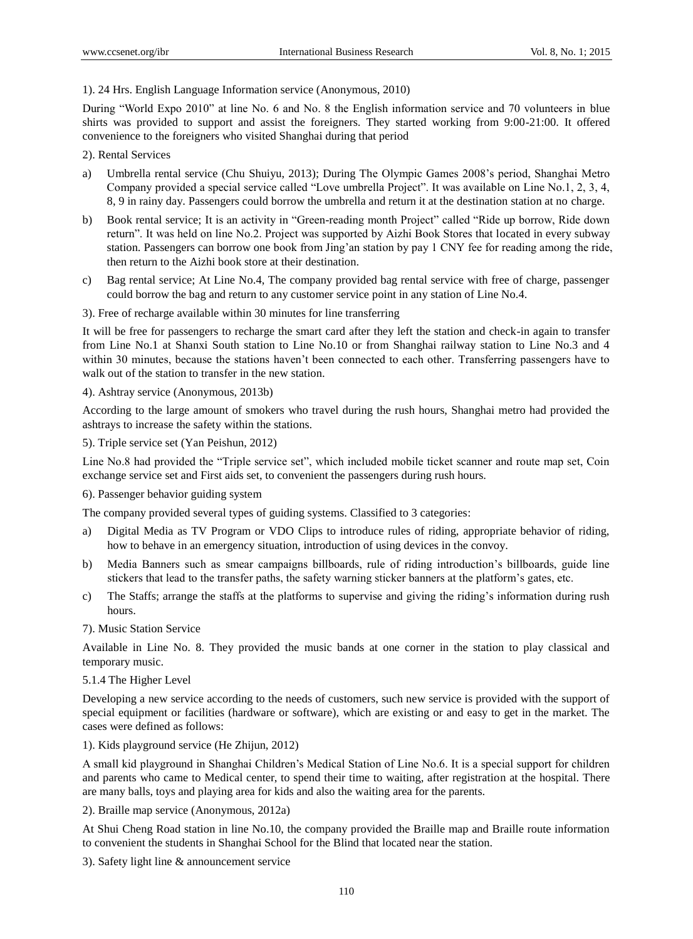# 1). 24 Hrs. English Language Information service (Anonymous, 2010)

During "World Expo 2010" at line No. 6 and No. 8 the English information service and 70 volunteers in blue shirts was provided to support and assist the foreigners. They started working from 9:00-21:00. It offered convenience to the foreigners who visited Shanghai during that period

- 2). Rental Services
- a) Umbrella rental service (Chu Shuiyu, 2013); During The Olympic Games 2008's period, Shanghai Metro Company provided a special service called "Love umbrella Project". It was available on Line No.1, 2, 3, 4, 8, 9 in rainy day. Passengers could borrow the umbrella and return it at the destination station at no charge.
- b) Book rental service; It is an activity in "Green-reading month Project" called "Ride up borrow, Ride down return". It was held on line No.2. Project was supported by Aizhi Book Stores that located in every subway station. Passengers can borrow one book from Jing'an station by pay 1 CNY fee for reading among the ride, then return to the Aizhi book store at their destination.
- c) Bag rental service; At Line No.4, The company provided bag rental service with free of charge, passenger could borrow the bag and return to any customer service point in any station of Line No.4.

# 3). Free of recharge available within 30 minutes for line transferring

It will be free for passengers to recharge the smart card after they left the station and check-in again to transfer from Line No.1 at Shanxi South station to Line No.10 or from Shanghai railway station to Line No.3 and 4 within 30 minutes, because the stations haven't been connected to each other. Transferring passengers have to walk out of the station to transfer in the new station.

# 4). Ashtray service (Anonymous, 2013b)

According to the large amount of smokers who travel during the rush hours, Shanghai metro had provided the ashtrays to increase the safety within the stations.

# 5). Triple service set (Yan Peishun, 2012)

Line No.8 had provided the "Triple service set", which included mobile ticket scanner and route map set, Coin exchange service set and First aids set, to convenient the passengers during rush hours.

# 6). Passenger behavior guiding system

The company provided several types of guiding systems. Classified to 3 categories:

- a) Digital Media as TV Program or VDO Clips to introduce rules of riding, appropriate behavior of riding, how to behave in an emergency situation, introduction of using devices in the convoy.
- b) Media Banners such as smear campaigns billboards, rule of riding introduction's billboards, guide line stickers that lead to the transfer paths, the safety warning sticker banners at the platform's gates, etc.
- c) The Staffs; arrange the staffs at the platforms to supervise and giving the riding's information during rush hours.
- 7). Music Station Service

Available in Line No. 8. They provided the music bands at one corner in the station to play classical and temporary music.

# 5.1.4 The Higher Level

Developing a new service according to the needs of customers, such new service is provided with the support of special equipment or facilities (hardware or software), which are existing or and easy to get in the market. The cases were defined as follows:

# 1). Kids playground service (He Zhijun, 2012)

A small kid playground in Shanghai Children's Medical Station of Line No.6. It is a special support for children and parents who came to Medical center, to spend their time to waiting, after registration at the hospital. There are many balls, toys and playing area for kids and also the waiting area for the parents.

2). Braille map service (Anonymous, 2012a)

At Shui Cheng Road station in line No.10, the company provided the Braille map and Braille route information to convenient the students in Shanghai School for the Blind that located near the station.

3). Safety light line & announcement service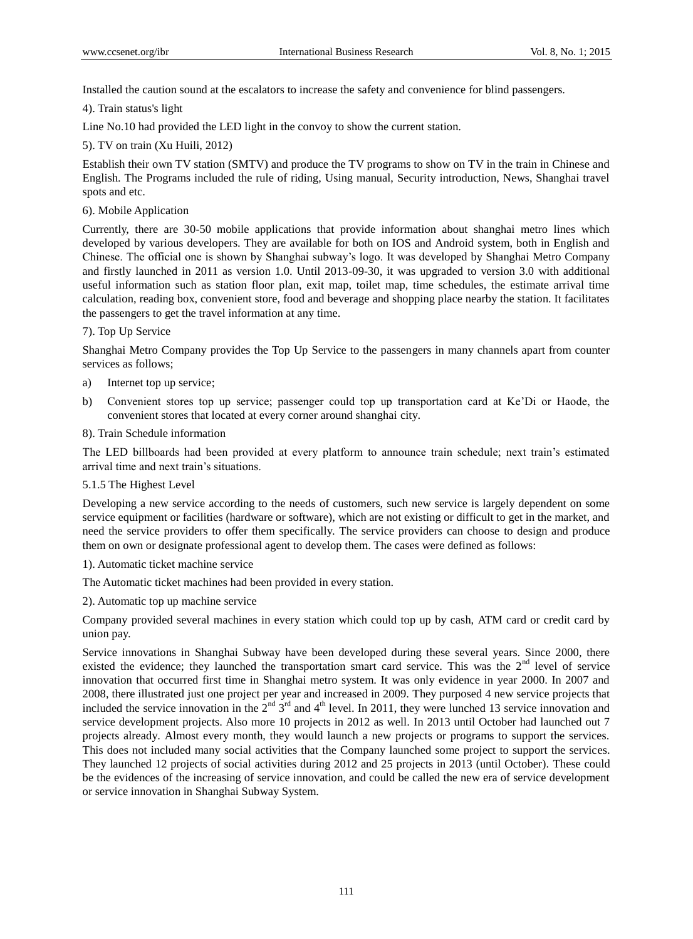Installed the caution sound at the escalators to increase the safety and convenience for blind passengers.

#### 4). Train status's light

Line No.10 had provided the LED light in the convoy to show the current station.

# 5). TV on train (Xu Huili, 2012)

Establish their own TV station (SMTV) and produce the TV programs to show on TV in the train in Chinese and English. The Programs included the rule of riding, Using manual, Security introduction, News, Shanghai travel spots and etc.

#### 6). Mobile Application

Currently, there are 30-50 mobile applications that provide information about shanghai metro lines which developed by various developers. They are available for both on IOS and Android system, both in English and Chinese. The official one is shown by Shanghai subway's logo. It was developed by Shanghai Metro Company and firstly launched in 2011 as version 1.0. Until 2013-09-30, it was upgraded to version 3.0 with additional useful information such as station floor plan, exit map, toilet map, time schedules, the estimate arrival time calculation, reading box, convenient store, food and beverage and shopping place nearby the station. It facilitates the passengers to get the travel information at any time.

# 7). Top Up Service

Shanghai Metro Company provides the Top Up Service to the passengers in many channels apart from counter services as follows;

- a) Internet top up service;
- b) Convenient stores top up service; passenger could top up transportation card at Ke'Di or Haode, the convenient stores that located at every corner around shanghai city.

#### 8). Train Schedule information

The LED billboards had been provided at every platform to announce train schedule; next train's estimated arrival time and next train's situations.

# 5.1.5 The Highest Level

Developing a new service according to the needs of customers, such new service is largely dependent on some service equipment or facilities (hardware or software), which are not existing or difficult to get in the market, and need the service providers to offer them specifically. The service providers can choose to design and produce them on own or designate professional agent to develop them. The cases were defined as follows:

1). Automatic ticket machine service

The Automatic ticket machines had been provided in every station.

2). Automatic top up machine service

Company provided several machines in every station which could top up by cash, ATM card or credit card by union pay.

Service innovations in Shanghai Subway have been developed during these several years. Since 2000, there existed the evidence; they launched the transportation smart card service. This was the  $2<sup>nd</sup>$  level of service innovation that occurred first time in Shanghai metro system. It was only evidence in year 2000. In 2007 and 2008, there illustrated just one project per year and increased in 2009. They purposed 4 new service projects that included the service innovation in the  $2^{nd} 3^{rd}$  and  $4^{th}$  level. In 2011, they were lunched 13 service innovation and service development projects. Also more 10 projects in 2012 as well. In 2013 until October had launched out 7 projects already. Almost every month, they would launch a new projects or programs to support the services. This does not included many social activities that the Company launched some project to support the services. They launched 12 projects of social activities during 2012 and 25 projects in 2013 (until October). These could be the evidences of the increasing of service innovation, and could be called the new era of service development or service innovation in Shanghai Subway System.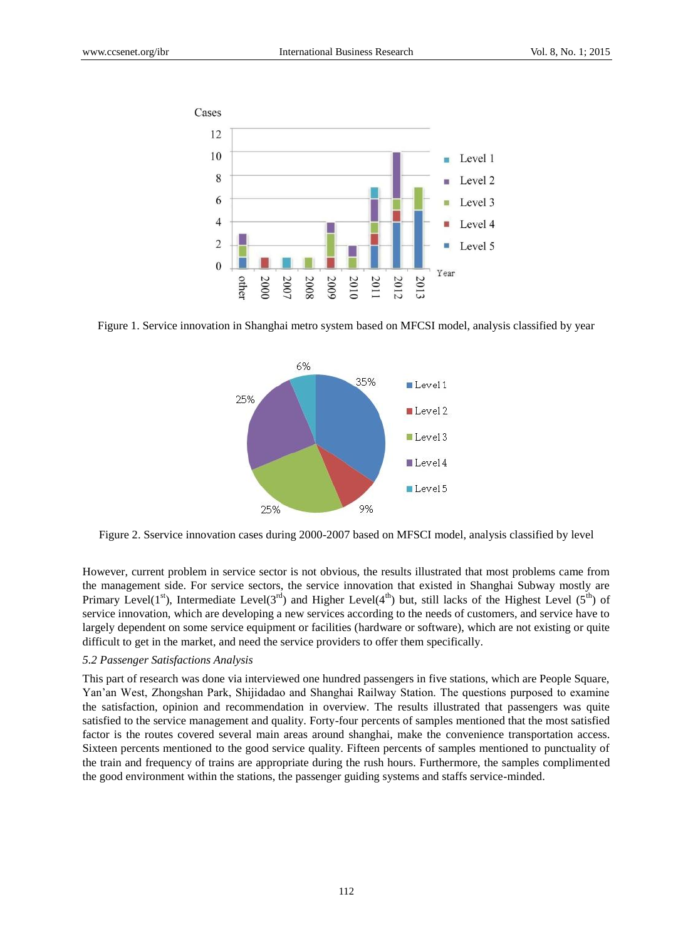

Figure 1. Service innovation in Shanghai metro system based on MFCSI model, analysis classified by year



Figure 2. Sservice innovation cases during 2000-2007 based on MFSCI model, analysis classified by level

However, current problem in service sector is not obvious, the results illustrated that most problems came from the management side. For service sectors, the service innovation that existed in Shanghai Subway mostly are Primary Level(1st), Intermediate Level(3rd) and Higher Level(4th) but, still lacks of the Highest Level (5th) of service innovation, which are developing a new services according to the needs of customers, and service have to largely dependent on some service equipment or facilities (hardware or software), which are not existing or quite difficult to get in the market, and need the service providers to offer them specifically.

#### *5.2 Passenger Satisfactions Analysis*

This part of research was done via interviewed one hundred passengers in five stations, which are People Square, Yan'an West, Zhongshan Park, Shijidadao and Shanghai Railway Station. The questions purposed to examine the satisfaction, opinion and recommendation in overview. The results illustrated that passengers was quite satisfied to the service management and quality. Forty-four percents of samples mentioned that the most satisfied factor is the routes covered several main areas around shanghai, make the convenience transportation access. Sixteen percents mentioned to the good service quality. Fifteen percents of samples mentioned to punctuality of the train and frequency of trains are appropriate during the rush hours. Furthermore, the samples complimented the good environment within the stations, the passenger guiding systems and staffs service-minded.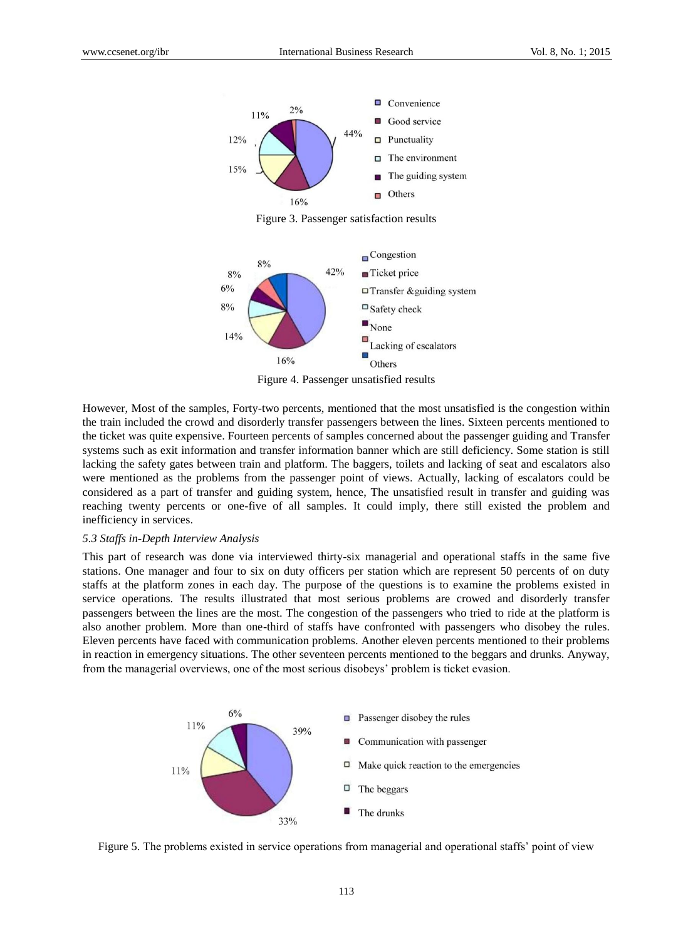

Figure 3. Passenger satisfaction results



Figure 4. Passenger unsatisfied results

However, Most of the samples, Forty-two percents, mentioned that the most unsatisfied is the congestion within the train included the crowd and disorderly transfer passengers between the lines. Sixteen percents mentioned to the ticket was quite expensive. Fourteen percents of samples concerned about the passenger guiding and Transfer systems such as exit information and transfer information banner which are still deficiency. Some station is still lacking the safety gates between train and platform. The baggers, toilets and lacking of seat and escalators also were mentioned as the problems from the passenger point of views. Actually, lacking of escalators could be considered as a part of transfer and guiding system, hence, The unsatisfied result in transfer and guiding was reaching twenty percents or one-five of all samples. It could imply, there still existed the problem and inefficiency in services.

#### *5.3 Staffs in-Depth Interview Analysis*

This part of research was done via interviewed thirty-six managerial and operational staffs in the same five stations. One manager and four to six on duty officers per station which are represent 50 percents of on duty staffs at the platform zones in each day. The purpose of the questions is to examine the problems existed in service operations. The results illustrated that most serious problems are crowed and disorderly transfer passengers between the lines are the most. The congestion of the passengers who tried to ride at the platform is also another problem. More than one-third of staffs have confronted with passengers who disobey the rules. Eleven percents have faced with communication problems. Another eleven percents mentioned to their problems in reaction in emergency situations. The other seventeen percents mentioned to the beggars and drunks. Anyway, from the managerial overviews, one of the most serious disobeys' problem is ticket evasion.



Figure 5. The problems existed in service operations from managerial and operational staffs' point of view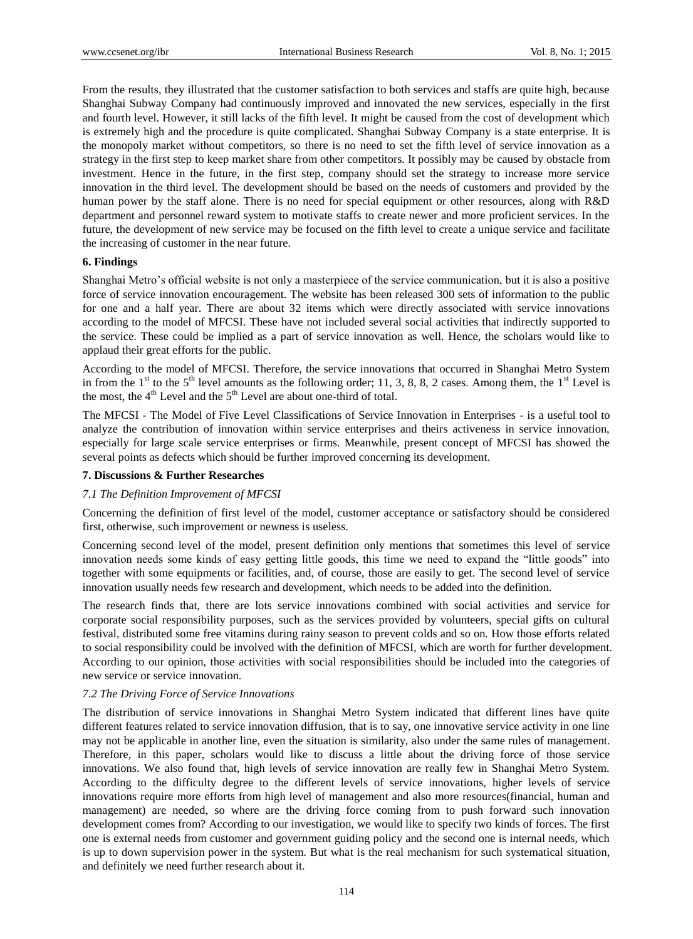From the results, they illustrated that the customer satisfaction to both services and staffs are quite high, because Shanghai Subway Company had continuously improved and innovated the new services, especially in the first and fourth level. However, it still lacks of the fifth level. It might be caused from the cost of development which is extremely high and the procedure is quite complicated. Shanghai Subway Company is a state enterprise. It is the monopoly market without competitors, so there is no need to set the fifth level of service innovation as a strategy in the first step to keep market share from other competitors. It possibly may be caused by obstacle from investment. Hence in the future, in the first step, company should set the strategy to increase more service innovation in the third level. The development should be based on the needs of customers and provided by the human power by the staff alone. There is no need for special equipment or other resources, along with R&D department and personnel reward system to motivate staffs to create newer and more proficient services. In the future, the development of new service may be focused on the fifth level to create a unique service and facilitate the increasing of customer in the near future.

#### **6. Findings**

Shanghai Metro's official website is not only a masterpiece of the service communication, but it is also a positive force of service innovation encouragement. The website has been released 300 sets of information to the public for one and a half year. There are about 32 items which were directly associated with service innovations according to the model of MFCSI. These have not included several social activities that indirectly supported to the service. These could be implied as a part of service innovation as well. Hence, the scholars would like to applaud their great efforts for the public.

According to the model of MFCSI. Therefore, the service innovations that occurred in Shanghai Metro System in from the  $1<sup>st</sup>$  to the  $5<sup>th</sup>$  level amounts as the following order; 11, 3, 8, 8, 2 cases. Among them, the  $1<sup>st</sup>$  Level is the most, the  $4<sup>th</sup>$  Level and the  $5<sup>th</sup>$  Level are about one-third of total.

The MFCSI - The Model of Five Level Classifications of Service Innovation in Enterprises - is a useful tool to analyze the contribution of innovation within service enterprises and theirs activeness in service innovation, especially for large scale service enterprises or firms. Meanwhile, present concept of MFCSI has showed the several points as defects which should be further improved concerning its development.

#### **7. Discussions & Further Researches**

# *7.1 The Definition Improvement of MFCSI*

Concerning the definition of first level of the model, customer acceptance or satisfactory should be considered first, otherwise, such improvement or newness is useless.

Concerning second level of the model, present definition only mentions that sometimes this level of service innovation needs some kinds of easy getting little goods, this time we need to expand the "little goods" into together with some equipments or facilities, and, of course, those are easily to get. The second level of service innovation usually needs few research and development, which needs to be added into the definition.

The research finds that, there are lots service innovations combined with social activities and service for corporate social responsibility purposes, such as the services provided by volunteers, special gifts on cultural festival, distributed some free vitamins during rainy season to prevent colds and so on. How those efforts related to social responsibility could be involved with the definition of MFCSI, which are worth for further development. According to our opinion, those activities with social responsibilities should be included into the categories of new service or service innovation.

# *7.2 The Driving Force of Service Innovations*

The distribution of service innovations in Shanghai Metro System indicated that different lines have quite different features related to service innovation diffusion, that is to say, one innovative service activity in one line may not be applicable in another line, even the situation is similarity, also under the same rules of management. Therefore, in this paper, scholars would like to discuss a little about the driving force of those service innovations. We also found that, high levels of service innovation are really few in Shanghai Metro System. According to the difficulty degree to the different levels of service innovations, higher levels of service innovations require more efforts from high level of management and also more resources(financial, human and management) are needed, so where are the driving force coming from to push forward such innovation development comes from? According to our investigation, we would like to specify two kinds of forces. The first one is external needs from customer and government guiding policy and the second one is internal needs, which is up to down supervision power in the system. But what is the real mechanism for such systematical situation, and definitely we need further research about it.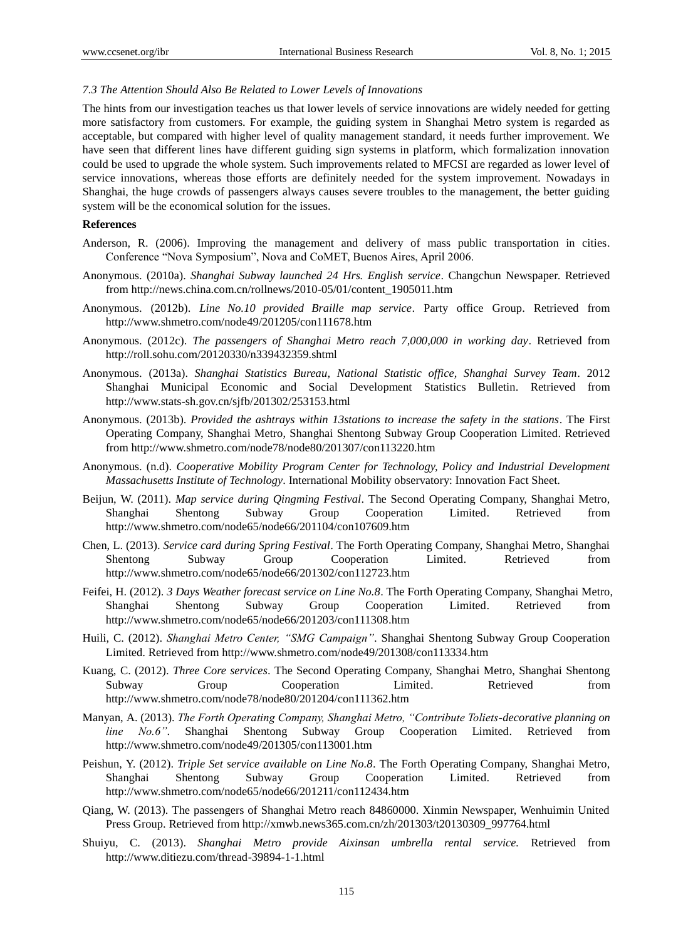#### *7.3 The Attention Should Also Be Related to Lower Levels of Innovations*

The hints from our investigation teaches us that lower levels of service innovations are widely needed for getting more satisfactory from customers. For example, the guiding system in Shanghai Metro system is regarded as acceptable, but compared with higher level of quality management standard, it needs further improvement. We have seen that different lines have different guiding sign systems in platform, which formalization innovation could be used to upgrade the whole system. Such improvements related to MFCSI are regarded as lower level of service innovations, whereas those efforts are definitely needed for the system improvement. Nowadays in Shanghai, the huge crowds of passengers always causes severe troubles to the management, the better guiding system will be the economical solution for the issues.

#### **References**

- Anderson, R. (2006). Improving the management and delivery of mass public transportation in cities. Conference "Nova Symposium", Nova and CoMET, Buenos Aires, April 2006.
- Anonymous. (2010a). *Shanghai Subway launched 24 Hrs. English service*. Changchun Newspaper. Retrieved from http://news.china.com.cn/rollnews/2010-05/01/content\_1905011.htm
- Anonymous. (2012b). *Line No.10 provided Braille map service*. Party office Group. Retrieved from http://www.shmetro.com/node49/201205/con111678.htm
- Anonymous. (2012c). *The passengers of Shanghai Metro reach 7,000,000 in working day*. Retrieved from http://roll.sohu.com/20120330/n339432359.shtml
- Anonymous. (2013a). *Shanghai Statistics Bureau, National Statistic office, Shanghai Survey Team*. 2012 Shanghai Municipal Economic and Social Development Statistics Bulletin. Retrieved from http://www.stats-sh.gov.cn/sjfb/201302/253153.html
- Anonymous. (2013b). *Provided the ashtrays within 13stations to increase the safety in the stations*. The First Operating Company, Shanghai Metro, Shanghai Shentong Subway Group Cooperation Limited. Retrieved from http://www.shmetro.com/node78/node80/201307/con113220.htm
- Anonymous. (n.d). *Cooperative Mobility Program Center for Technology, Policy and Industrial Development Massachusetts Institute of Technology*. International Mobility observatory: Innovation Fact Sheet.
- Beijun, W. (2011). *Map service during Qingming Festival*. The Second Operating Company, Shanghai Metro, Shanghai Shentong Subway Group Cooperation Limited. Retrieved from http://www.shmetro.com/node65/node66/201104/con107609.htm
- Chen, L. (2013). *Service card during Spring Festival*. The Forth Operating Company, Shanghai Metro, Shanghai Shentong Subway Group Cooperation Limited. Retrieved from http://www.shmetro.com/node65/node66/201302/con112723.htm
- Feifei, H. (2012). *3 Days Weather forecast service on Line No.8*. The Forth Operating Company, Shanghai Metro, Shanghai Shentong Subway Group Cooperation Limited. Retrieved from http://www.shmetro.com/node65/node66/201203/con111308.htm
- Huili, C. (2012). *Shanghai Metro Center, "SMG Campaign"*. Shanghai Shentong Subway Group Cooperation Limited. Retrieved from http://www.shmetro.com/node49/201308/con113334.htm
- Kuang, C. (2012). *Three Core services*. The Second Operating Company, Shanghai Metro, Shanghai Shentong Subway Group Cooperation Limited. Retrieved from http://www.shmetro.com/node78/node80/201204/con111362.htm
- Manyan, A. (2013). *The Forth Operating Company, Shanghai Metro, "Contribute Toliets-decorative planning on line No.6"*. Shanghai Shentong Subway Group Cooperation Limited. Retrieved from http://www.shmetro.com/node49/201305/con113001.htm
- Peishun, Y. (2012). *Triple Set service available on Line No.8*. The Forth Operating Company, Shanghai Metro, Shanghai Shentong Subway Group Cooperation Limited. Retrieved from http://www.shmetro.com/node65/node66/201211/con112434.htm
- Qiang, W. (2013). The passengers of Shanghai Metro reach 84860000. Xinmin Newspaper, Wenhuimin United Press Group. Retrieved from http://xmwb.news365.com.cn/zh/201303/t20130309\_997764.html
- Shuiyu, C. (2013). *Shanghai Metro provide Aixinsan umbrella rental service.* Retrieved from http://www.ditiezu.com/thread-39894-1-1.html